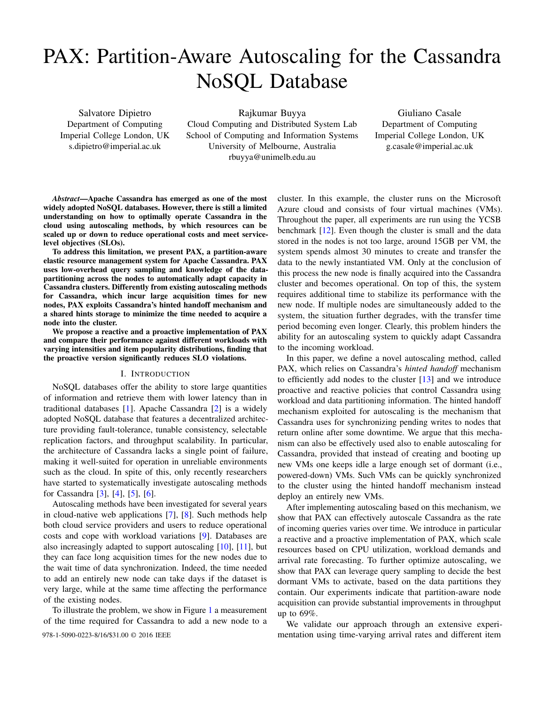# PAX: Partition-Aware Autoscaling for the Cassandra NoSQL Database

Salvatore Dipietro Department of Computing Imperial College London, UK s.dipietro@imperial.ac.uk

Rajkumar Buyya Cloud Computing and Distributed System Lab School of Computing and Information Systems University of Melbourne, Australia rbuyya@unimelb.edu.au

Giuliano Casale Department of Computing Imperial College London, UK g.casale@imperial.ac.uk

*Abstract*—Apache Cassandra has emerged as one of the most widely adopted NoSQL databases. However, there is still a limited understanding on how to optimally operate Cassandra in the cloud using autoscaling methods, by which resources can be scaled up or down to reduce operational costs and meet servicelevel objectives (SLOs).

To address this limitation, we present PAX, a partition-aware elastic resource management system for Apache Cassandra. PAX uses low-overhead query sampling and knowledge of the datapartitioning across the nodes to automatically adapt capacity in Cassandra clusters. Differently from existing autoscaling methods for Cassandra, which incur large acquisition times for new nodes, PAX exploits Cassandra's hinted handoff mechanism and a shared hints storage to minimize the time needed to acquire a node into the cluster.

We propose a reactive and a proactive implementation of PAX and compare their performance against different workloads with varying intensities and item popularity distributions, finding that the proactive version significantly reduces SLO violations.

# I. INTRODUCTION

NoSQL databases offer the ability to store large quantities of information and retrieve them with lower latency than in traditional databases [\[1\]](#page-8-0). Apache Cassandra [\[2\]](#page-8-1) is a widely adopted NoSQL database that features a decentralized architecture providing fault-tolerance, tunable consistency, selectable replication factors, and throughput scalability. In particular, the architecture of Cassandra lacks a single point of failure, making it well-suited for operation in unreliable environments such as the cloud. In spite of this, only recently researchers have started to systematically investigate autoscaling methods for Cassandra [\[3\]](#page-8-2), [\[4\]](#page-8-3), [\[5\]](#page-8-4), [\[6\]](#page-8-5).

Autoscaling methods have been investigated for several years in cloud-native web applications [\[7\]](#page-8-6), [\[8\]](#page-8-7). Such methods help both cloud service providers and users to reduce operational costs and cope with workload variations [\[9\]](#page-8-8). Databases are also increasingly adapted to support autoscaling [\[10\]](#page-8-9), [\[11\]](#page-8-10), but they can face long acquisition times for the new nodes due to the wait time of data synchronization. Indeed, the time needed to add an entirely new node can take days if the dataset is very large, while at the same time affecting the performance of the existing nodes.

To illustrate the problem, we show in Figure [1](#page-1-0) a measurement of the time required for Cassandra to add a new node to a

cluster. In this example, the cluster runs on the Microsoft Azure cloud and consists of four virtual machines (VMs). Throughout the paper, all experiments are run using the YCSB benchmark [\[12\]](#page-8-11). Even though the cluster is small and the data stored in the nodes is not too large, around 15GB per VM, the system spends almost 30 minutes to create and transfer the data to the newly instantiated VM. Only at the conclusion of this process the new node is finally acquired into the Cassandra cluster and becomes operational. On top of this, the system requires additional time to stabilize its performance with the new node. If multiple nodes are simultaneously added to the system, the situation further degrades, with the transfer time period becoming even longer. Clearly, this problem hinders the ability for an autoscaling system to quickly adapt Cassandra to the incoming workload.

In this paper, we define a novel autoscaling method, called PAX, which relies on Cassandra's *hinted handoff* mechanism to efficiently add nodes to the cluster [\[13\]](#page-8-12) and we introduce proactive and reactive policies that control Cassandra using workload and data partitioning information. The hinted handoff mechanism exploited for autoscaling is the mechanism that Cassandra uses for synchronizing pending writes to nodes that return online after some downtime. We argue that this mechanism can also be effectively used also to enable autoscaling for Cassandra, provided that instead of creating and booting up new VMs one keeps idle a large enough set of dormant (i.e., powered-down) VMs. Such VMs can be quickly synchronized to the cluster using the hinted handoff mechanism instead deploy an entirely new VMs.

After implementing autoscaling based on this mechanism, we show that PAX can effectively autoscale Cassandra as the rate of incoming queries varies over time. We introduce in particular a reactive and a proactive implementation of PAX, which scale resources based on CPU utilization, workload demands and arrival rate forecasting. To further optimize autoscaling, we show that PAX can leverage query sampling to decide the best dormant VMs to activate, based on the data partitions they contain. Our experiments indicate that partition-aware node acquisition can provide substantial improvements in throughput up to 69%.

We validate our approach through an extensive experi-978-1-5090-0223-8/16/\$31.00 © 2016 IEEE mentation using time-varying arrival rates and different item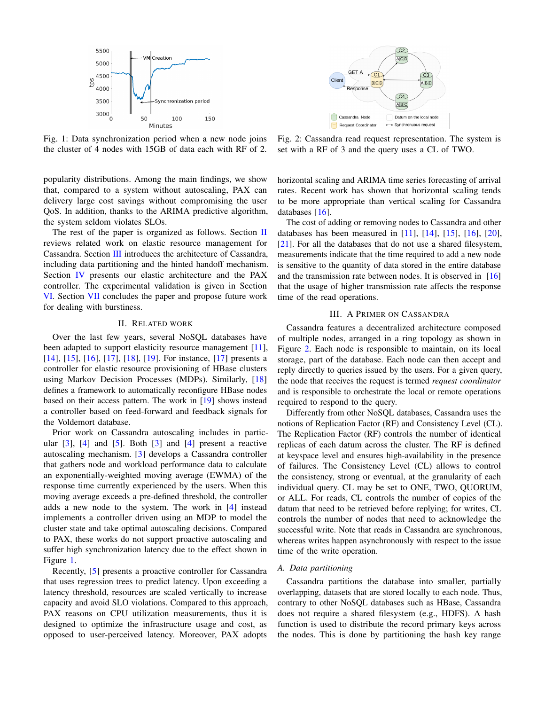<span id="page-1-0"></span>

Fig. 1: Data synchronization period when a new node joins the cluster of 4 nodes with 15GB of data each with RF of 2.

popularity distributions. Among the main findings, we show that, compared to a system without autoscaling, PAX can delivery large cost savings without compromising the user QoS. In addition, thanks to the ARIMA predictive algorithm, the system seldom violates SLOs.

The rest of the paper is organized as follows. Section  $\Pi$ reviews related work on elastic resource management for Cassandra. Section [III](#page-1-2) introduces the architecture of Cassandra, including data partitioning and the hinted handoff mechanism. Section [IV](#page-2-0) presents our elastic architecture and the PAX controller. The experimental validation is given in Section [VI.](#page-6-0) Section [VII](#page-7-0) concludes the paper and propose future work for dealing with burstiness.

## II. RELATED WORK

<span id="page-1-1"></span>Over the last few years, several NoSQL databases have been adapted to support elasticity resource management [\[11\]](#page-8-10), [\[14\]](#page-8-13), [\[15\]](#page-8-14), [\[16\]](#page-8-15), [\[17\]](#page-8-16), [\[18\]](#page-8-17), [\[19\]](#page-8-18). For instance, [17] presents a controller for elastic resource provisioning of HBase clusters using Markov Decision Processes (MDPs). Similarly, [\[18\]](#page-8-17) defines a framework to automatically reconfigure HBase nodes based on their access pattern. The work in [\[19\]](#page-8-18) shows instead a controller based on feed-forward and feedback signals for the Voldemort database.

Prior work on Cassandra autoscaling includes in particular  $[3]$ ,  $[4]$  and  $[5]$ . Both  $[3]$  and  $[4]$  present a reactive autoscaling mechanism. [\[3\]](#page-8-2) develops a Cassandra controller that gathers node and workload performance data to calculate an exponentially-weighted moving average (EWMA) of the response time currently experienced by the users. When this moving average exceeds a pre-defined threshold, the controller adds a new node to the system. The work in [\[4\]](#page-8-3) instead implements a controller driven using an MDP to model the cluster state and take optimal autoscaling decisions. Compared to PAX, these works do not support proactive autoscaling and suffer high synchronization latency due to the effect shown in Figure [1.](#page-1-0)

Recently, [\[5\]](#page-8-4) presents a proactive controller for Cassandra that uses regression trees to predict latency. Upon exceeding a latency threshold, resources are scaled vertically to increase capacity and avoid SLO violations. Compared to this approach, PAX reasons on CPU utilization measurements, thus it is designed to optimize the infrastructure usage and cost, as opposed to user-perceived latency. Moreover, PAX adopts

<span id="page-1-3"></span>

Fig. 2: Cassandra read request representation. The system is set with a RF of 3 and the query uses a CL of TWO.

horizontal scaling and ARIMA time series forecasting of arrival rates. Recent work has shown that horizontal scaling tends to be more appropriate than vertical scaling for Cassandra databases [\[16\]](#page-8-15).

The cost of adding or removing nodes to Cassandra and other databases has been measured in [\[11\]](#page-8-10), [\[14\]](#page-8-13), [\[15\]](#page-8-14), [\[16\]](#page-8-15), [\[20\]](#page-8-19), [\[21\]](#page-8-20). For all the databases that do not use a shared filesystem, measurements indicate that the time required to add a new node is sensitive to the quantity of data stored in the entire database and the transmission rate between nodes. It is observed in  $[16]$ that the usage of higher transmission rate affects the response time of the read operations.

## III. A PRIMER ON CASSANDRA

<span id="page-1-2"></span>Cassandra features a decentralized architecture composed of multiple nodes, arranged in a ring topology as shown in Figure [2.](#page-1-3) Each node is responsible to maintain, on its local storage, part of the database. Each node can then accept and reply directly to queries issued by the users. For a given query, the node that receives the request is termed *request coordinator* and is responsible to orchestrate the local or remote operations required to respond to the query.

Differently from other NoSQL databases, Cassandra uses the notions of Replication Factor (RF) and Consistency Level (CL). The Replication Factor (RF) controls the number of identical replicas of each datum across the cluster. The RF is defined at keyspace level and ensures high-availability in the presence of failures. The Consistency Level (CL) allows to control the consistency, strong or eventual, at the granularity of each individual query. CL may be set to ONE, TWO, QUORUM, or ALL. For reads, CL controls the number of copies of the datum that need to be retrieved before replying; for writes, CL controls the number of nodes that need to acknowledge the successful write. Note that reads in Cassandra are synchronous, whereas writes happen asynchronously with respect to the issue time of the write operation.

## *A. Data partitioning*

Cassandra partitions the database into smaller, partially overlapping, datasets that are stored locally to each node. Thus, contrary to other NoSQL databases such as HBase, Cassandra does not require a shared filesystem (e.g., HDFS). A hash function is used to distribute the record primary keys across the nodes. This is done by partitioning the hash key range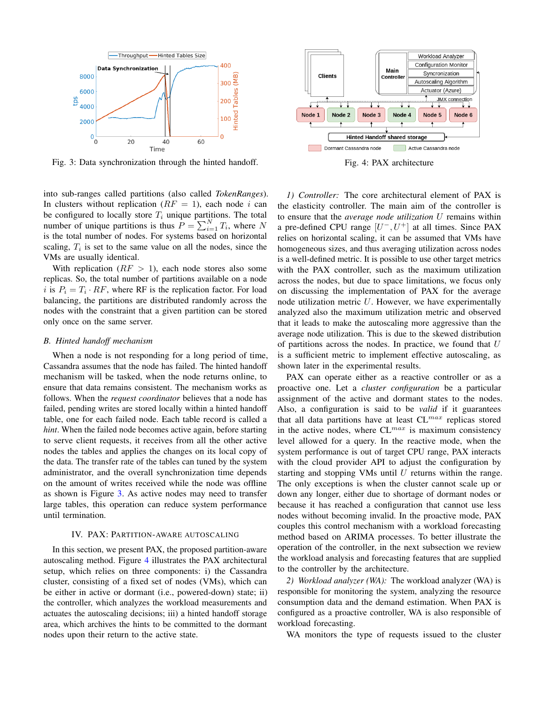<span id="page-2-1"></span>

Fig. 3: Data synchronization through the hinted handoff.

into sub-ranges called partitions (also called *TokenRanges*). In clusters without replication  $(RF = 1)$ , each node i can be configured to locally store  $T_i$  unique partitions. The total number of unique partitions is thus  $P = \sum_{i=1}^{N} T_i$ , where N is the total number of nodes. For systems based on horizontal scaling,  $T_i$  is set to the same value on all the nodes, since the VMs are usually identical.

With replication  $(RF > 1)$ , each node stores also some replicas. So, the total number of partitions available on a node i is  $P_i = T_i \cdot RF$ , where RF is the replication factor. For load balancing, the partitions are distributed randomly across the nodes with the constraint that a given partition can be stored only once on the same server.

## *B. Hinted handoff mechanism*

When a node is not responding for a long period of time, Cassandra assumes that the node has failed. The hinted handoff mechanism will be tasked, when the node returns online, to ensure that data remains consistent. The mechanism works as follows. When the *request coordinator* believes that a node has failed, pending writes are stored locally within a hinted handoff table, one for each failed node. Each table record is called a *hint*. When the failed node becomes active again, before starting to serve client requests, it receives from all the other active nodes the tables and applies the changes on its local copy of the data. The transfer rate of the tables can tuned by the system administrator, and the overall synchronization time depends on the amount of writes received while the node was offline as shown is Figure [3.](#page-2-1) As active nodes may need to transfer large tables, this operation can reduce system performance until termination.

## IV. PAX: PARTITION-AWARE AUTOSCALING

<span id="page-2-0"></span>In this section, we present PAX, the proposed partition-aware autoscaling method. Figure [4](#page-2-2) illustrates the PAX architectural setup, which relies on three components: i) the Cassandra cluster, consisting of a fixed set of nodes (VMs), which can be either in active or dormant (i.e., powered-down) state; ii) the controller, which analyzes the workload measurements and actuates the autoscaling decisions; iii) a hinted handoff storage area, which archives the hints to be committed to the dormant nodes upon their return to the active state.

<span id="page-2-2"></span>

Fig. 4: PAX architecture

*1) Controller:* The core architectural element of PAX is the elasticity controller. The main aim of the controller is to ensure that the *average node utilization* U remains within a pre-defined CPU range  $[U^-, U^+]$  at all times. Since PAX relies on horizontal scaling, it can be assumed that VMs have homogeneous sizes, and thus averaging utilization across nodes is a well-defined metric. It is possible to use other target metrics with the PAX controller, such as the maximum utilization across the nodes, but due to space limitations, we focus only on discussing the implementation of PAX for the average node utilization metric  $U$ . However, we have experimentally analyzed also the maximum utilization metric and observed that it leads to make the autoscaling more aggressive than the average node utilization. This is due to the skewed distribution of partitions across the nodes. In practice, we found that  $U$ is a sufficient metric to implement effective autoscaling, as shown later in the experimental results.

PAX can operate either as a reactive controller or as a proactive one. Let a *cluster configuration* be a particular assignment of the active and dormant states to the nodes. Also, a configuration is said to be *valid* if it guarantees that all data partitions have at least  $CL^{max}$  replicas stored in the active nodes, where  $CL^{max}$  is maximum consistency level allowed for a query. In the reactive mode, when the system performance is out of target CPU range, PAX interacts with the cloud provider API to adjust the configuration by starting and stopping VMs until  $U$  returns within the range. The only exceptions is when the cluster cannot scale up or down any longer, either due to shortage of dormant nodes or because it has reached a configuration that cannot use less nodes without becoming invalid. In the proactive mode, PAX couples this control mechanism with a workload forecasting method based on ARIMA processes. To better illustrate the operation of the controller, in the next subsection we review the workload analysis and forecasting features that are supplied to the controller by the architecture.

*2) Workload analyzer (WA):* The workload analyzer (WA) is responsible for monitoring the system, analyzing the resource consumption data and the demand estimation. When PAX is configured as a proactive controller, WA is also responsible of workload forecasting.

WA monitors the type of requests issued to the cluster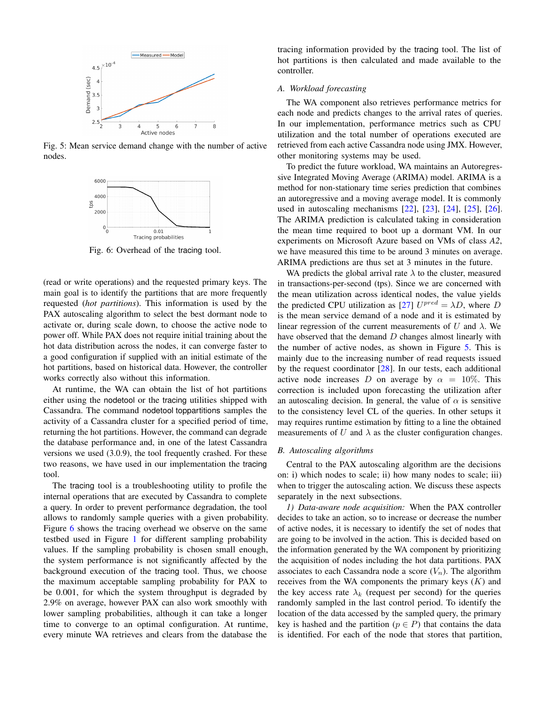<span id="page-3-1"></span>

<span id="page-3-0"></span>Fig. 5: Mean service demand change with the number of active nodes.



Fig. 6: Overhead of the tracing tool.

(read or write operations) and the requested primary keys. The main goal is to identify the partitions that are more frequently requested (*hot partitions*). This information is used by the PAX autoscaling algorithm to select the best dormant node to activate or, during scale down, to choose the active node to power off. While PAX does not require initial training about the hot data distribution across the nodes, it can converge faster to a good configuration if supplied with an initial estimate of the hot partitions, based on historical data. However, the controller works correctly also without this information.

At runtime, the WA can obtain the list of hot partitions either using the nodetool or the tracing utilities shipped with Cassandra. The command nodetool toppartitions samples the activity of a Cassandra cluster for a specified period of time, returning the hot partitions. However, the command can degrade the database performance and, in one of the latest Cassandra versions we used (3.0.9), the tool frequently crashed. For these two reasons, we have used in our implementation the tracing tool.

The tracing tool is a troubleshooting utility to profile the internal operations that are executed by Cassandra to complete a query. In order to prevent performance degradation, the tool allows to randomly sample queries with a given probability. Figure [6](#page-3-0) shows the tracing overhead we observe on the same testbed used in Figure [1](#page-1-0) for different sampling probability values. If the sampling probability is chosen small enough, the system performance is not significantly affected by the background execution of the tracing tool. Thus, we choose the maximum acceptable sampling probability for PAX to be 0.001, for which the system throughput is degraded by 2.9% on average, however PAX can also work smoothly with lower sampling probabilities, although it can take a longer time to converge to an optimal configuration. At runtime, every minute WA retrieves and clears from the database the

tracing information provided by the tracing tool. The list of hot partitions is then calculated and made available to the controller.

# *A. Workload forecasting*

The WA component also retrieves performance metrics for each node and predicts changes to the arrival rates of queries. In our implementation, performance metrics such as CPU utilization and the total number of operations executed are retrieved from each active Cassandra node using JMX. However, other monitoring systems may be used.

To predict the future workload, WA maintains an Autoregressive Integrated Moving Average (ARIMA) model. ARIMA is a method for non-stationary time series prediction that combines an autoregressive and a moving average model. It is commonly used in autoscaling mechanisms [\[22\]](#page-8-21), [\[23\]](#page-8-22), [\[24\]](#page-8-23), [\[25\]](#page-8-24), [\[26\]](#page-8-25). The ARIMA prediction is calculated taking in consideration the mean time required to boot up a dormant VM. In our experiments on Microsoft Azure based on VMs of class *A2*, we have measured this time to be around 3 minutes on average. ARIMA predictions are thus set at 3 minutes in the future.

WA predicts the global arrival rate  $\lambda$  to the cluster, measured in transactions-per-second (tps). Since we are concerned with the mean utilization across identical nodes, the value yields the predicted CPU utilization as [\[27\]](#page-8-26)  $U^{pred} = \lambda D$ , where D is the mean service demand of a node and it is estimated by linear regression of the current measurements of U and  $\lambda$ . We have observed that the demand  $D$  changes almost linearly with the number of active nodes, as shown in Figure [5.](#page-3-1) This is mainly due to the increasing number of read requests issued by the request coordinator  $[28]$ . In our tests, each additional active node increases D on average by  $\alpha = 10\%$ . This correction is included upon forecasting the utilization after an autoscaling decision. In general, the value of  $\alpha$  is sensitive to the consistency level CL of the queries. In other setups it may requires runtime estimation by fitting to a line the obtained measurements of U and  $\lambda$  as the cluster configuration changes.

## <span id="page-3-2"></span>*B. Autoscaling algorithms*

Central to the PAX autoscaling algorithm are the decisions on: i) which nodes to scale; ii) how many nodes to scale; iii) when to trigger the autoscaling action. We discuss these aspects separately in the next subsections.

*1) Data-aware node acquisition:* When the PAX controller decides to take an action, so to increase or decrease the number of active nodes, it is necessary to identify the set of nodes that are going to be involved in the action. This is decided based on the information generated by the WA component by prioritizing the acquisition of nodes including the hot data partitions. PAX associates to each Cassandra node a score  $(V_n)$ . The algorithm receives from the WA components the primary keys  $(K)$  and the key access rate  $\lambda_k$  (request per second) for the queries randomly sampled in the last control period. To identify the location of the data accessed by the sampled query, the primary key is hashed and the partition ( $p \in P$ ) that contains the data is identified. For each of the node that stores that partition,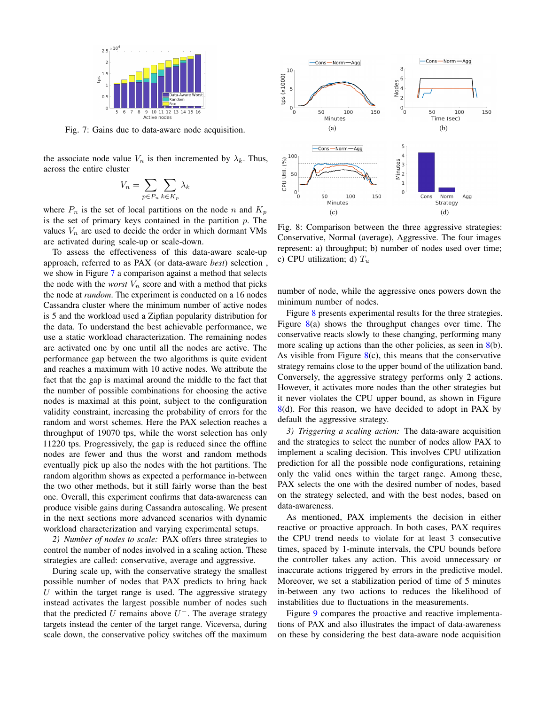<span id="page-4-0"></span>

Fig. 7: Gains due to data-aware node acquisition.

the associate node value  $V_n$  is then incremented by  $\lambda_k$ . Thus, across the entire cluster

$$
V_n = \sum_{p \in P_n} \sum_{k \in K_p} \lambda_k
$$

where  $P_n$  is the set of local partitions on the node n and  $K_p$ is the set of primary keys contained in the partition  $p$ . The values  $V_n$  are used to decide the order in which dormant VMs are activated during scale-up or scale-down.

To assess the effectiveness of this data-aware scale-up approach, referred to as PAX (or data-aware *best*) selection , we show in Figure [7](#page-4-0) a comparison against a method that selects the node with the *worst*  $V_n$  score and with a method that picks the node at *random*. The experiment is conducted on a 16 nodes Cassandra cluster where the minimum number of active nodes is 5 and the workload used a Zipfian popularity distribution for the data. To understand the best achievable performance, we use a static workload characterization. The remaining nodes are activated one by one until all the nodes are active. The performance gap between the two algorithms is quite evident and reaches a maximum with 10 active nodes. We attribute the fact that the gap is maximal around the middle to the fact that the number of possible combinations for choosing the active nodes is maximal at this point, subject to the configuration validity constraint, increasing the probability of errors for the random and worst schemes. Here the PAX selection reaches a throughput of 19070 tps, while the worst selection has only 11220 tps. Progressively, the gap is reduced since the offline nodes are fewer and thus the worst and random methods eventually pick up also the nodes with the hot partitions. The random algorithm shows as expected a performance in-between the two other methods, but it still fairly worse than the best one. Overall, this experiment confirms that data-awareness can produce visible gains during Cassandra autoscaling. We present in the next sections more advanced scenarios with dynamic workload characterization and varying experimental setups.

*2) Number of nodes to scale:* PAX offers three strategies to control the number of nodes involved in a scaling action. These strategies are called: conservative, average and aggressive.

During scale up, with the conservative strategy the smallest possible number of nodes that PAX predicts to bring back U within the target range is used. The aggressive strategy instead activates the largest possible number of nodes such that the predicted U remains above  $U^-$ . The average strategy targets instead the center of the target range. Viceversa, during scale down, the conservative policy switches off the maximum

<span id="page-4-1"></span>

Fig. 8: Comparison between the three aggressive strategies: Conservative, Normal (average), Aggressive. The four images represent: a) throughput; b) number of nodes used over time; c) CPU utilization; d)  $T_u$ 

number of node, while the aggressive ones powers down the minimum number of nodes.

Figure [8](#page-4-1) presents experimental results for the three strategies. Figure [8\(](#page-4-1)a) shows the throughput changes over time. The conservative reacts slowly to these changing, performing many more scaling up actions than the other policies, as seen in  $8(b)$  $8(b)$ . As visible from Figure  $8(c)$  $8(c)$ , this means that the conservative strategy remains close to the upper bound of the utilization band. Conversely, the aggressive strategy performs only 2 actions. However, it activates more nodes than the other strategies but it never violates the CPU upper bound, as shown in Figure [8\(](#page-4-1)d). For this reason, we have decided to adopt in PAX by default the aggressive strategy.

*3) Triggering a scaling action:* The data-aware acquisition and the strategies to select the number of nodes allow PAX to implement a scaling decision. This involves CPU utilization prediction for all the possible node configurations, retaining only the valid ones within the target range. Among these, PAX selects the one with the desired number of nodes, based on the strategy selected, and with the best nodes, based on data-awareness.

As mentioned, PAX implements the decision in either reactive or proactive approach. In both cases, PAX requires the CPU trend needs to violate for at least 3 consecutive times, spaced by 1-minute intervals, the CPU bounds before the controller takes any action. This avoid unnecessary or inaccurate actions triggered by errors in the predictive model. Moreover, we set a stabilization period of time of 5 minutes in-between any two actions to reduces the likelihood of instabilities due to fluctuations in the measurements.

Figure [9](#page-5-0) compares the proactive and reactive implementations of PAX and also illustrates the impact of data-awareness on these by considering the best data-aware node acquisition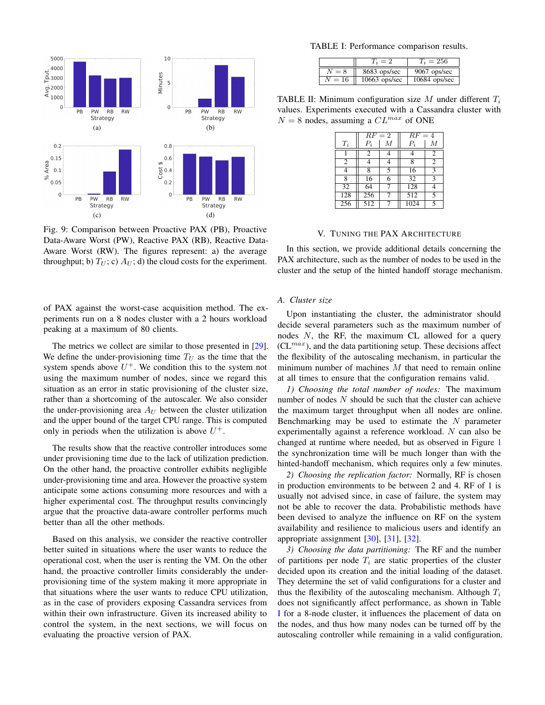<span id="page-5-0"></span>

Fig. 9: Comparison between Proactive PAX (PB), Proactive Data-Aware Worst (PW), Reactive PAX (RB), Reactive Data-Aware Worst (RW). The figures represent: a) the average throughput; b)  $T_U$ ; c)  $A_U$ ; d) the cloud costs for the experiment.

of PAX against the worst-case acquisition method. The experiments run on a 8 nodes cluster with a 2 hours workload peaking at a maximum of 80 clients.

The metrics we collect are similar to those presented in [\[29\]](#page-8-28). We define the under-provisioning time  $T_U$  as the time that the system spends above  $U^+$ . We condition this to the system not using the maximum number of nodes, since we regard this situation as an error in static provisioning of the cluster size, rather than a shortcoming of the autoscaler. We also consider the under-provisioning area  $A_U$  between the cluster utilization and the upper bound of the target CPU range. This is computed only in periods when the utilization is above  $U^+$ .

The results show that the reactive controller introduces some under provisioning time due to the lack of utilization prediction. On the other hand, the proactive controller exhibits negligible under-provisioning time and area. However the proactive system anticipate some actions consuming more resources and with a higher experimental cost. The throughput results convincingly argue that the proactive data-aware controller performs much better than all the other methods.

Based on this analysis, we consider the reactive controller better suited in situations where the user wants to reduce the operational cost, when the user is renting the VM. On the other hand, the proactive controller limits considerably the underprovisioning time of the system making it more appropriate in that situations where the user wants to reduce CPU utilization, as in the case of providers exposing Cassandra services from within their own infrastructure. Given its increased ability to control the system, in the next sections, we will focus on evaluating the proactive version of PAX.

<span id="page-5-1"></span>TABLE I: Performance comparison results.

|       |                 | $T_i = 256$     |
|-------|-----------------|-----------------|
|       | 8683 ops/sec    | 9067 ops/sec    |
| $=16$ | $10663$ ops/sec | $10684$ ops/sec |

<span id="page-5-2"></span>TABLE II: Minimum configuration size  $M$  under different  $T_i$ values. Experiments executed with a Cassandra cluster with  $N = 8$  nodes, assuming a  $CL^{max}$  of ONE

|                 | $RF=2$         |   | $RF=4$          |                |
|-----------------|----------------|---|-----------------|----------------|
| $T_i$           | $P_i$          | М | $P_i$           | М              |
|                 | $\mathfrak{D}$ |   | 4               | $\overline{c}$ |
| 2               |                |   | 8               | $\overline{c}$ |
| 4               | 8              | 5 | 16              | 3              |
| $\bar{8}$       | 16             | 6 | $\overline{32}$ | ٩              |
| $\overline{32}$ | 64             |   | 128             |                |
| 128             | 256            |   | 512             | 5              |
| 256             | 512            |   | 1024            | 5              |

## V. TUNING THE PAX ARCHITECTURE

In this section, we provide additional details concerning the PAX architecture, such as the number of nodes to be used in the cluster and the setup of the hinted handoff storage mechanism.

#### *A. Cluster size*

Upon instantiating the cluster, the administrator should decide several parameters such as the maximum number of nodes N, the RF, the maximum CL allowed for a query  $(CL^{max})$ , and the data partitioning setup. These decisions affect the flexibility of the autoscaling mechanism, in particular the minimum number of machines  $M$  that need to remain online at all times to ensure that the configuration remains valid.

*1) Choosing the total number of nodes:* The maximum number of nodes  $N$  should be such that the cluster can achieve the maximum target throughput when all nodes are online. Benchmarking may be used to estimate the  $N$  parameter experimentally against a reference workload. N can also be changed at runtime where needed, but as observed in Figure [1](#page-1-0) the synchronization time will be much longer than with the hinted-handoff mechanism, which requires only a few minutes.

*2) Choosing the replication factor:* Normally, RF is chosen in production environments to be between 2 and 4. RF of 1 is usually not advised since, in case of failure, the system may not be able to recover the data. Probabilistic methods have been devised to analyze the influence on RF on the system availability and resilience to malicious users and identify an appropriate assignment [\[30\]](#page-8-29), [\[31\]](#page-8-30), [\[32\]](#page-8-31).

*3) Choosing the data partitioning:* The RF and the number of partitions per node  $T_i$  are static properties of the cluster decided upon its creation and the initial loading of the dataset. They determine the set of valid configurations for a cluster and thus the flexibility of the autoscaling mechanism. Although  $T_i$ does not significantly affect performance, as shown in Table [I](#page-5-1) for a 8-node cluster, it influences the placement of data on the nodes, and thus how many nodes can be turned off by the autoscaling controller while remaining in a valid configuration.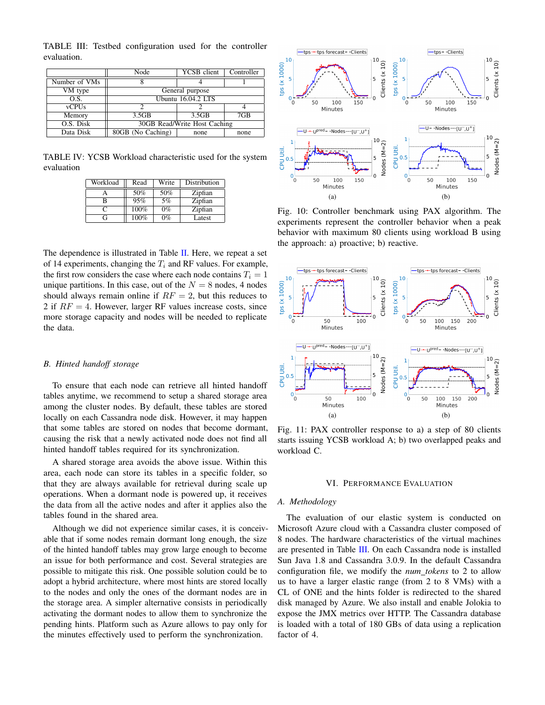<span id="page-6-1"></span>TABLE III: Testbed configuration used for the controller evaluation.

|               | Node                         | YCSB client  | Controller |  |
|---------------|------------------------------|--------------|------------|--|
| Number of VMs |                              |              |            |  |
| VM type       | General purpose              |              |            |  |
| O.S.          | <b>Ubuntu 16.04.2 LTS</b>    |              |            |  |
| <b>vCPUs</b>  |                              |              |            |  |
| Memory        | 3.5GB                        | 3.5GB        | 7GB        |  |
| O.S. Disk     | 30GB Read/Write Host Caching |              |            |  |
| Data Disk     | 80GB (No Caching)            | none<br>none |            |  |

<span id="page-6-6"></span>TABLE IV: YCSB Workload characteristic used for the system evaluation

| Workload | Read | Write | Distribution |
|----------|------|-------|--------------|
|          | 50%  | 50%   | Zipfian      |
| В        | 95%  | 5%    | Zipfian      |
| €        | 100% | $0\%$ | Zipfian      |
| G        | 100% | $0\%$ | Latest       |

The dependence is illustrated in Table [II.](#page-5-2) Here, we repeat a set of 14 experiments, changing the  $T_i$  and RF values. For example, the first row considers the case where each node contains  $T_i = 1$ unique partitions. In this case, out of the  $N = 8$  nodes, 4 nodes should always remain online if  $RF = 2$ , but this reduces to 2 if  $RF = 4$ . However, larger RF values increase costs, since more storage capacity and nodes will be needed to replicate the data.

# *B. Hinted handoff storage*

To ensure that each node can retrieve all hinted handoff tables anytime, we recommend to setup a shared storage area among the cluster nodes. By default, these tables are stored locally on each Cassandra node disk. However, it may happen that some tables are stored on nodes that become dormant, causing the risk that a newly activated node does not find all hinted handoff tables required for its synchronization.

A shared storage area avoids the above issue. Within this area, each node can store its tables in a specific folder, so that they are always available for retrieval during scale up operations. When a dormant node is powered up, it receives the data from all the active nodes and after it applies also the tables found in the shared area.

Although we did not experience similar cases, it is conceivable that if some nodes remain dormant long enough, the size of the hinted handoff tables may grow large enough to become an issue for both performance and cost. Several strategies are possible to mitigate this risk. One possible solution could be to adopt a hybrid architecture, where most hints are stored locally to the nodes and only the ones of the dormant nodes are in the storage area. A simpler alternative consists in periodically activating the dormant nodes to allow them to synchronize the pending hints. Platform such as Azure allows to pay only for the minutes effectively used to perform the synchronization.



<span id="page-6-3"></span><span id="page-6-2"></span>Fig. 10: Controller benchmark using PAX algorithm. The experiments represent the controller behavior when a peak behavior with maximum 80 clients using workload B using the approach: a) proactive; b) reactive.



<span id="page-6-4"></span>Fig. 11: PAX controller response to a) a step of 80 clients starts issuing YCSB workload A; b) two overlapped peaks and workload C.

## <span id="page-6-5"></span>VI. PERFORMANCE EVALUATION

#### <span id="page-6-0"></span>*A. Methodology*

The evaluation of our elastic system is conducted on Microsoft Azure cloud with a Cassandra cluster composed of 8 nodes. The hardware characteristics of the virtual machines are presented in Table [III.](#page-6-1) On each Cassandra node is installed Sun Java 1.8 and Cassandra 3.0.9. In the default Cassandra configuration file, we modify the *num tokens* to 2 to allow us to have a larger elastic range (from 2 to 8 VMs) with a CL of ONE and the hints folder is redirected to the shared disk managed by Azure. We also install and enable Jolokia to expose the JMX metrics over HTTP. The Cassandra database is loaded with a total of 180 GBs of data using a replication factor of 4.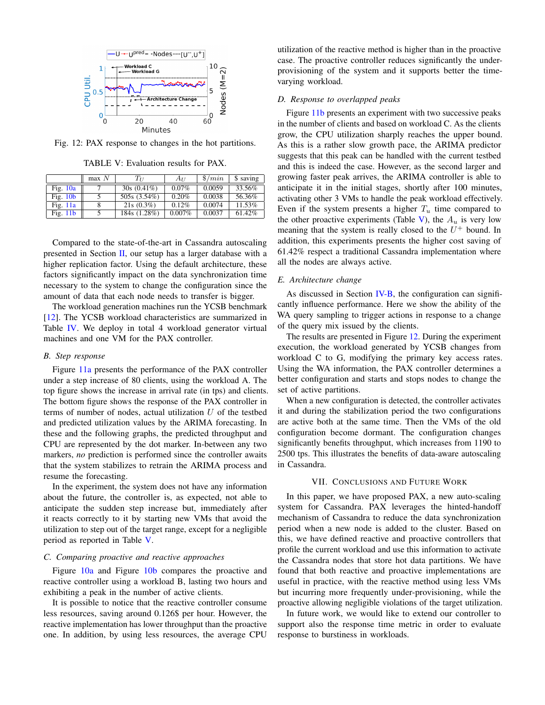<span id="page-7-2"></span>

Fig. 12: PAX response to changes in the hot partitions.

TABLE V: Evaluation results for PAX.

<span id="page-7-1"></span>

|            | max N | Tт            | $A_{II}$  | $\frac{1}{2}$ /min | \$ saving |
|------------|-------|---------------|-----------|--------------------|-----------|
| Fig. $10a$ |       | $30s(0.41\%)$ | $0.07\%$  | 0.0059             | 33.56%    |
| Fig. $10b$ |       | 505s (3.54%)  | 0.20%     | 0.0038             | 56.36%    |
| Fig. $11a$ |       | $21s(0.3\%)$  | 0.12%     | 0.0074             | 11.53%    |
| Fig. $11b$ |       | 184s (1.28%)  | $0.007\%$ | 0.0037             | $61.42\%$ |

Compared to the state-of-the-art in Cassandra autoscaling presented in Section  $II$ , our setup has a larger database with a higher replication factor. Using the default architecture, these factors significantly impact on the data synchronization time necessary to the system to change the configuration since the amount of data that each node needs to transfer is bigger.

The workload generation machines run the YCSB benchmark [\[12\]](#page-8-11). The YCSB workload characteristics are summarized in Table [IV.](#page-6-6) We deploy in total 4 workload generator virtual machines and one VM for the PAX controller.

## *B. Step response*

Figure [11a](#page-6-4) presents the performance of the PAX controller under a step increase of 80 clients, using the workload A. The top figure shows the increase in arrival rate (in tps) and clients. The bottom figure shows the response of the PAX controller in terms of number of nodes, actual utilization  $U$  of the testbed and predicted utilization values by the ARIMA forecasting. In these and the following graphs, the predicted throughput and CPU are represented by the dot marker. In-between any two markers, *no* prediction is performed since the controller awaits that the system stabilizes to retrain the ARIMA process and resume the forecasting.

In the experiment, the system does not have any information about the future, the controller is, as expected, not able to anticipate the sudden step increase but, immediately after it reacts correctly to it by starting new VMs that avoid the utilization to step out of the target range, except for a negligible period as reported in Table [V.](#page-7-1)

## *C. Comparing proactive and reactive approaches*

Figure [10a](#page-6-2) and Figure [10b](#page-6-3) compares the proactive and reactive controller using a workload B, lasting two hours and exhibiting a peak in the number of active clients.

It is possible to notice that the reactive controller consume less resources, saving around 0.126\$ per hour. However, the reactive implementation has lower throughput than the proactive one. In addition, by using less resources, the average CPU utilization of the reactive method is higher than in the proactive case. The proactive controller reduces significantly the underprovisioning of the system and it supports better the timevarying workload.

## *D. Response to overlapped peaks*

Figure [11b](#page-6-5) presents an experiment with two successive peaks in the number of clients and based on workload C. As the clients grow, the CPU utilization sharply reaches the upper bound. As this is a rather slow growth pace, the ARIMA predictor suggests that this peak can be handled with the current testbed and this is indeed the case. However, as the second larger and growing faster peak arrives, the ARIMA controller is able to anticipate it in the initial stages, shortly after 100 minutes, activating other 3 VMs to handle the peak workload effectively. Even if the system presents a higher  $T_u$  time compared to the other proactive experiments (Table [V\)](#page-7-1), the  $A_u$  is very low meaning that the system is really closed to the  $U^+$  bound. In addition, this experiments presents the higher cost saving of 61.42% respect a traditional Cassandra implementation where all the nodes are always active.

# *E. Architecture change*

As discussed in Section [IV-B,](#page-3-2) the configuration can significantly influence performance. Here we show the ability of the WA query sampling to trigger actions in response to a change of the query mix issued by the clients.

The results are presented in Figure [12.](#page-7-2) During the experiment execution, the workload generated by YCSB changes from workload C to G, modifying the primary key access rates. Using the WA information, the PAX controller determines a better configuration and starts and stops nodes to change the set of active partitions.

When a new configuration is detected, the controller activates it and during the stabilization period the two configurations are active both at the same time. Then the VMs of the old configuration become dormant. The configuration changes significantly benefits throughput, which increases from 1190 to 2500 tps. This illustrates the benefits of data-aware autoscaling in Cassandra.

## VII. CONCLUSIONS AND FUTURE WORK

<span id="page-7-0"></span>In this paper, we have proposed PAX, a new auto-scaling system for Cassandra. PAX leverages the hinted-handoff mechanism of Cassandra to reduce the data synchronization period when a new node is added to the cluster. Based on this, we have defined reactive and proactive controllers that profile the current workload and use this information to activate the Cassandra nodes that store hot data partitions. We have found that both reactive and proactive implementations are useful in practice, with the reactive method using less VMs but incurring more frequently under-provisioning, while the proactive allowing negligible violations of the target utilization.

In future work, we would like to extend our controller to support also the response time metric in order to evaluate response to burstiness in workloads.